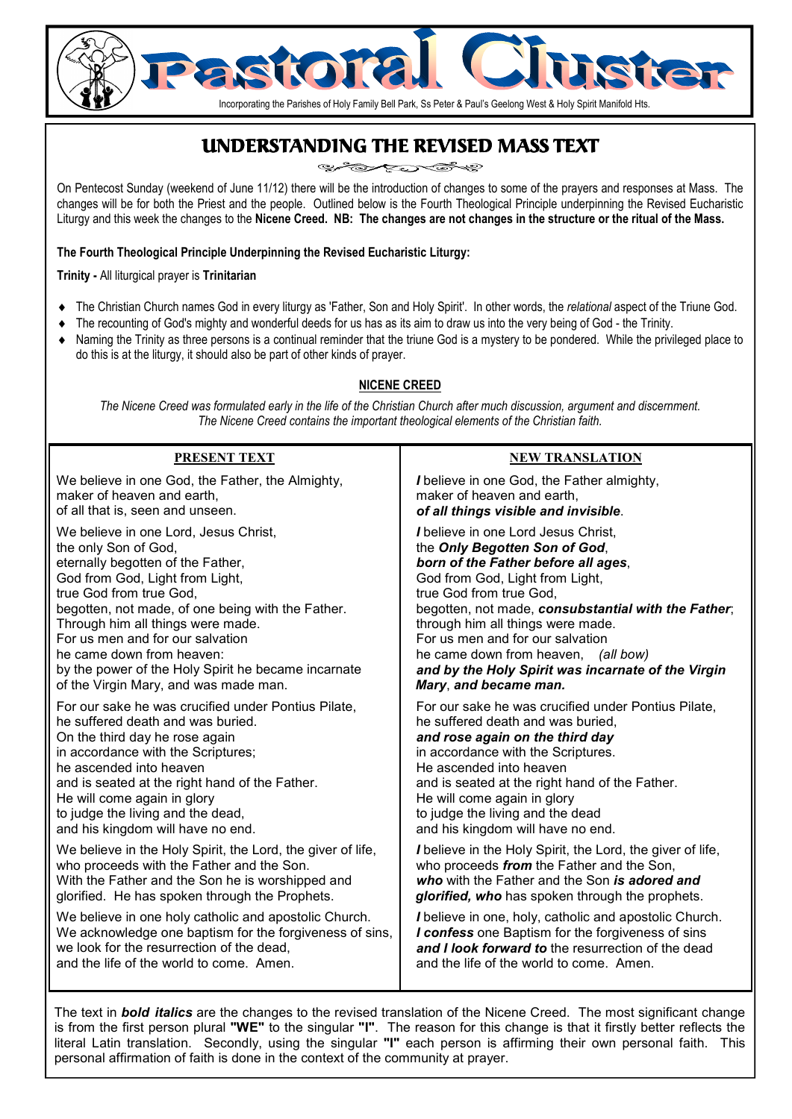# Incorporating the Parishes of Holy Family Bell Park, Ss Peter & Paul's Geelong West & Holy Spirit Manifold Hts.

# UNDERSTANDING THE REVISED MASS TEXT

On Pentecost Sunday (weekend of June 11/12) there will be the introduction of changes to some of the prayers and responses at Mass. The changes will be for both the Priest and the people. Outlined below is the Fourth Theological Principle underpinning the Revised Eucharistic Liturgy and this week the changes to the **Nicene Creed. NB: The changes are not changes in the structure or the ritual of the Mass.**

#### **The Fourth Theological Principle Underpinning the Revised Eucharistic Liturgy:**

**Trinity -** All liturgical prayer is **Trinitarian** 

- ♦ The Christian Church names God in every liturgy as 'Father, Son and Holy Spirit'. In other words, the *relational* aspect of the Triune God.
- The recounting of God's mighty and wonderful deeds for us has as its aim to draw us into the very being of God the Trinity.
- Naming the Trinity as three persons is a continual reminder that the triune God is a mystery to be pondered. While the privileged place to do this is at the liturgy, it should also be part of other kinds of prayer.

#### **NICENE CREED**

*The Nicene Creed was formulated early in the life of the Christian Church after much discussion, argument and discernment. The Nicene Creed contains the important theological elements of the Christian faith.* 

| <b>PRESENT TEXT</b>                                         | <b>NEW TRANSLATION</b>                                     |
|-------------------------------------------------------------|------------------------------------------------------------|
| We believe in one God, the Father, the Almighty,            | I believe in one God, the Father almighty,                 |
| maker of heaven and earth,                                  | maker of heaven and earth,                                 |
| of all that is, seen and unseen.                            | of all things visible and invisible.                       |
| We believe in one Lord, Jesus Christ,                       | I believe in one Lord Jesus Christ.                        |
| the only Son of God,                                        | the Only Begotten Son of God,                              |
| eternally begotten of the Father,                           | born of the Father before all ages,                        |
| God from God, Light from Light,                             | God from God, Light from Light,                            |
| true God from true God,                                     | true God from true God,                                    |
| begotten, not made, of one being with the Father.           | begotten, not made, consubstantial with the Father;        |
| Through him all things were made.                           | through him all things were made.                          |
| For us men and for our salvation                            | For us men and for our salvation                           |
| he came down from heaven:                                   | he came down from heaven, (all bow)                        |
| by the power of the Holy Spirit he became incarnate         | and by the Holy Spirit was incarnate of the Virgin         |
| of the Virgin Mary, and was made man.                       | Mary, and became man.                                      |
| For our sake he was crucified under Pontius Pilate,         | For our sake he was crucified under Pontius Pilate,        |
| he suffered death and was buried.                           | he suffered death and was buried,                          |
| On the third day he rose again                              | and rose again on the third day                            |
| in accordance with the Scriptures;                          | in accordance with the Scriptures.                         |
| he ascended into heaven                                     | He ascended into heaven                                    |
| and is seated at the right hand of the Father.              | and is seated at the right hand of the Father.             |
| He will come again in glory                                 | He will come again in glory                                |
| to judge the living and the dead,                           | to judge the living and the dead                           |
| and his kingdom will have no end.                           | and his kingdom will have no end.                          |
| We believe in the Holy Spirit, the Lord, the giver of life, | I believe in the Holy Spirit, the Lord, the giver of life, |
| who proceeds with the Father and the Son.                   | who proceeds from the Father and the Son,                  |
| With the Father and the Son he is worshipped and            | who with the Father and the Son is adored and              |
| glorified. He has spoken through the Prophets.              | glorified, who has spoken through the prophets.            |
| We believe in one holy catholic and apostolic Church.       | I believe in one, holy, catholic and apostolic Church.     |
| We acknowledge one baptism for the forgiveness of sins,     | I confess one Baptism for the forgiveness of sins          |
| we look for the resurrection of the dead.                   | and I look forward to the resurrection of the dead         |
| and the life of the world to come. Amen.                    | and the life of the world to come. Amen.                   |

The text in *bold italics* are the changes to the revised translation of the Nicene Creed. The most significant change is from the first person plural **"WE"** to the singular **"I"**. The reason for this change is that it firstly better reflects the literal Latin translation. Secondly, using the singular **"I"** each person is affirming their own personal faith. This personal affirmation of faith is done in the context of the community at prayer.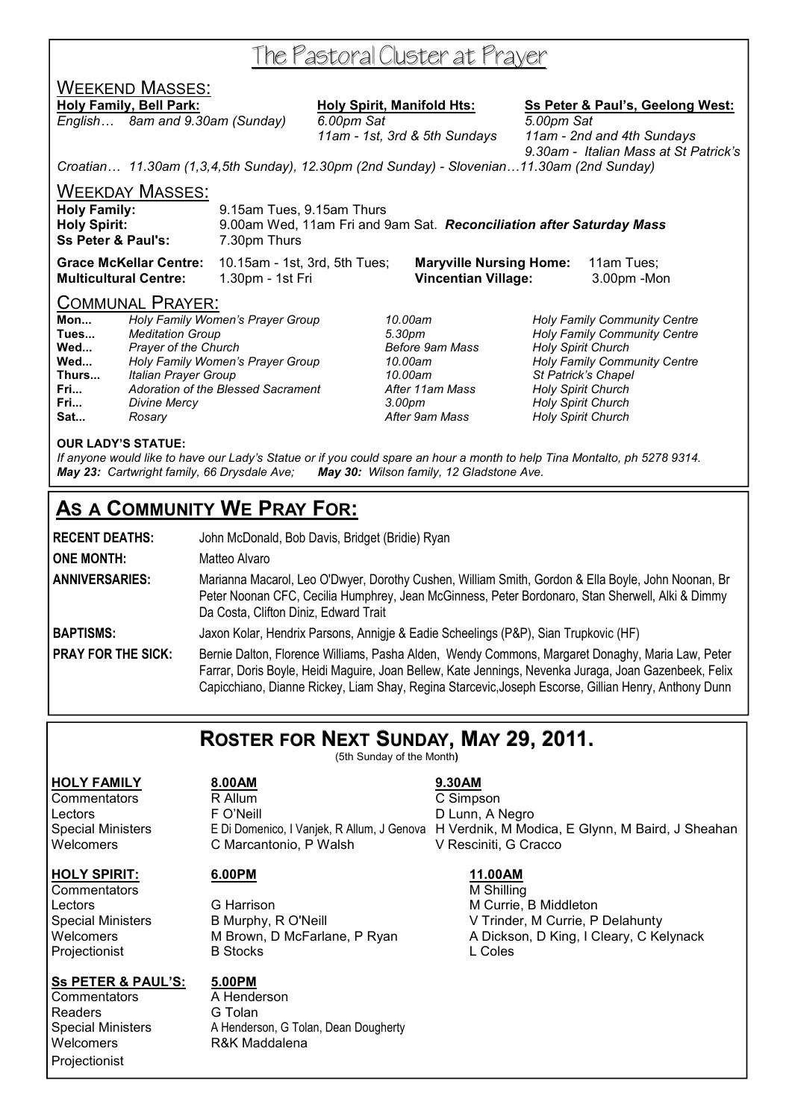# The Pastoral Cluster at Prayer

# WEEKEND MASSES:

*English… 8am and 9.30am (Sunday) 6.00pm Sat 5.00pm Sat* 

**Holy Family, Bell Park: Holy Spirit, Manifold Hts: Ss Peter & Paul's, Geelong West:**

 *11am - 1st, 3rd & 5th Sundays 11am - 2nd and 4th Sundays 9.30am - Italian Mass at St Patrick's* 

*Croatian… 11.30am (1,3,4,5th Sunday), 12.30pm (2nd Sunday) - Slovenian…11.30am (2nd Sunday)* 

WEEKDAY MASSES:

| <b>Holy Family:</b>           | 9.15am Tues, 9.15am Thurs                                            |  |
|-------------------------------|----------------------------------------------------------------------|--|
| <b>Holy Spirit:</b>           | 9.00am Wed, 11am Fri and 9am Sat. Reconciliation after Saturday Mass |  |
| <b>Ss Peter &amp; Paul's:</b> | 7.30pm Thurs                                                         |  |

**Grace McKellar Centre:** 10.15am - 1st, 3rd, 5th Tues; **Maryville Nursing Home:** 11am Tues; **Multicultural Centre:** 1.30pm - 1st Fri **Vincentian Village:** 3.00pm -Mon

#### COMMUNAL PRAYER:

| Mon   | Holy Family Women's Prayer Group   |
|-------|------------------------------------|
| Tues  | <b>Meditation Group</b>            |
| Wed   | Prayer of the Church               |
| Wed   | Holy Family Women's Prayer Group   |
| Thurs | <b>Italian Prayer Group</b>        |
| Fri   | Adoration of the Blessed Sacrament |
| Fri   | <b>Divine Mercy</b>                |
| Sat   | Rosary                             |

**Fri...** *Adoration of the Blessed Sacrament After 11am Mass Holy Spirit Church*  **Fri...** *Divine Mercy 3.00pm Holy Spirit Church* 

**Mon...** *Holy Family Women's Prayer Group 10.00am Holy Family Community Centre*  **Tues...** *Meditation Group 5.30pm Holy Family Community Centre*  **Holy Spirit Church Wed...** *Holy Family Women's Prayer Group 10.00am Holy Family Community Centre*  **Thurs...** *Italian Prayer Group 10.00am St Patrick's Chapel*  **Holy Spirit Church** 

#### **OUR LADY'S STATUE:**

*If anyone would like to have our Lady's Statue or if you could spare an hour a month to help Tina Montalto, ph 5278 9314. May 23: Cartwright family, 66 Drysdale Ave; May 30: Wilson family, 12 Gladstone Ave.* 

# **AS A COMMUNITY WE PRAY FOR:**

**RECENT DEATHS:** John McDonald, Bob Davis, Bridget (Bridie) Ryan

**ONE MONTH:** Matteo Alvaro

**ANNIVERSARIES:** Marianna Macarol, Leo O'Dwyer, Dorothy Cushen, William Smith, Gordon & Ella Boyle, John Noonan, Br Peter Noonan CFC, Cecilia Humphrey, Jean McGinness, Peter Bordonaro, Stan Sherwell, Alki & Dimmy Da Costa, Clifton Diniz, Edward Trait

**BAPTISMS:** Jaxon Kolar, Hendrix Parsons, Annigje & Eadie Scheelings (P&P), Sian Trupkovic (HF)

PRAY FOR THE SICK: Bernie Dalton, Florence Williams, Pasha Alden, Wendy Commons, Margaret Donaghy, Maria Law, Peter Farrar, Doris Boyle, Heidi Maguire, Joan Bellew, Kate Jennings, Nevenka Juraga, Joan Gazenbeek, Felix Capicchiano, Dianne Rickey, Liam Shay, Regina Starcevic,Joseph Escorse, Gillian Henry, Anthony Dunn

# **ROSTER FOR NEXT SUNDAY, MAY 29, 2011.**

(5th Sunday of the Month**)** 

Commentators M Shilling **Projectionist** 

**HOLY FAMILY 8.00AM 9.30AM** Commentators R Allum C Simpson Lectors **F** O'Neill **CONECAL EXAMPLE EXAMPLE PO** Lunn, A Negro Special Ministers E Di Domenico, I Vanjek, R Allum, J Genova H Verdnik, M Modica, E Glynn, M Baird, J Sheahan Welcomers **C Marcantonio, P Walsh** V Resciniti, G Cracco

#### **Ss PETER & PAUL'S: 5.00PM**

Commentators **A Henderson** Readers **G Tolan** Welcomers **R&K Maddalena Projectionist** 

Special Ministers A Henderson, G Tolan, Dean Dougherty

**HOLY SPIRIT: 6.00PM 11.00AM**

Lectors **C** G Harrison **M** Currie, B Middleton Special Ministers B Murphy, R O'Neill V Trinder, M Currie, P Delahunty Welcomers MBrown, D McFarlane, P Ryan A Dickson, D King, I Cleary, C Kelynack<br>Proiectionist B Stocks B A L Coles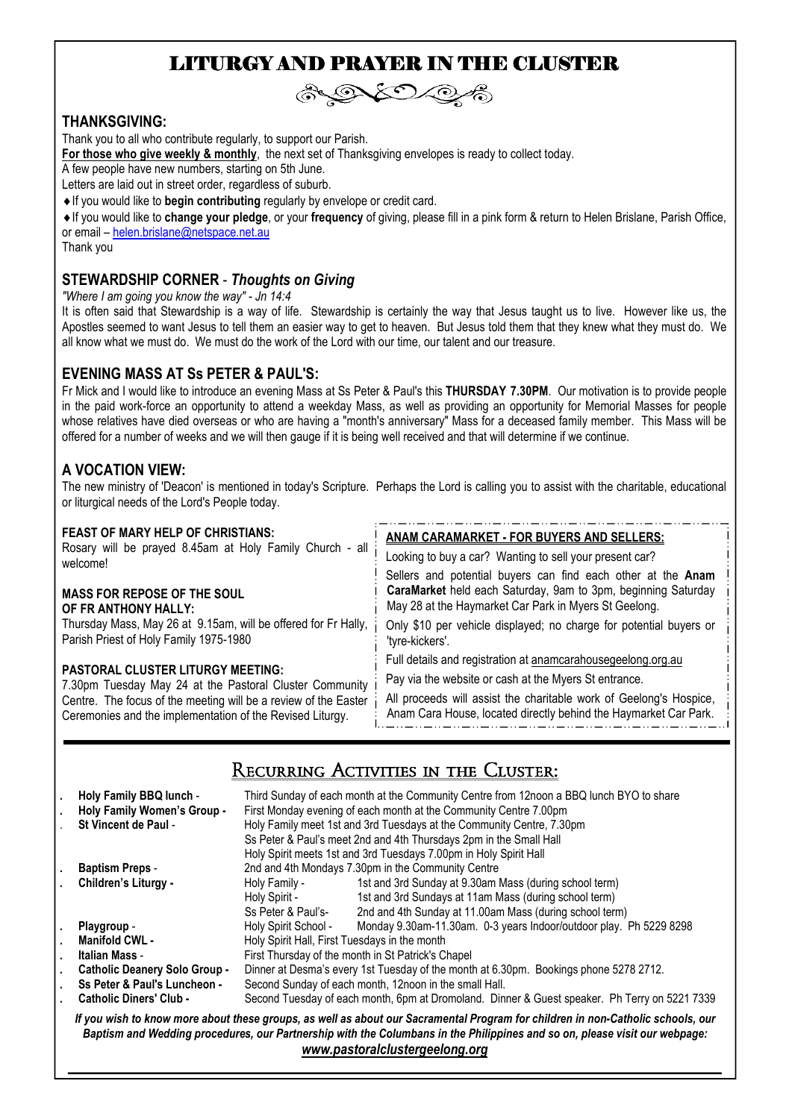# LITURGY AND PRAYER IN THE CLUSTER



#### **THANKSGIVING:**

Thank you to all who contribute regularly, to support our Parish.

**For those who give weekly & monthly**, the next set of Thanksgiving envelopes is ready to collect today.

A few people have new numbers, starting on 5th June.

Letters are laid out in street order, regardless of suburb.

♦If you would like to **begin contributing** regularly by envelope or credit card.

♦If you would like to **change your pledge**, or your **frequency** of giving, please fill in a pink form & return to Helen Brislane, Parish Office, or email – helen.brislane@netspace.net.au

Thank you

#### **STEWARDSHIP CORNER** - *Thoughts on Giving*

*"Where I am going you know the way" - Jn 14:4* 

It is often said that Stewardship is a way of life. Stewardship is certainly the way that Jesus taught us to live. However like us, the Apostles seemed to want Jesus to tell them an easier way to get to heaven. But Jesus told them that they knew what they must do. We all know what we must do. We must do the work of the Lord with our time, our talent and our treasure.

#### **EVENING MASS AT Ss PETER & PAUL'S:**

Fr Mick and I would like to introduce an evening Mass at Ss Peter & Paul's this **THURSDAY 7.30PM**. Our motivation is to provide people in the paid work-force an opportunity to attend a weekday Mass, as well as providing an opportunity for Memorial Masses for people whose relatives have died overseas or who are having a "month's anniversary" Mass for a deceased family member. This Mass will be offered for a number of weeks and we will then gauge if it is being well received and that will determine if we continue.

#### **A VOCATION VIEW:**

The new ministry of 'Deacon' is mentioned in today's Scripture. Perhaps the Lord is calling you to assist with the charitable, educational or liturgical needs of the Lord's People today.

#### **FEAST OF MARY HELP OF CHRISTIANS:**

Rosary will be prayed 8.45am at Holy Family Church - all welcome!

#### **MASS FOR REPOSE OF THE SOUL OF FR ANTHONY HALLY:**

Thursday Mass, May 26 at 9.15am, will be offered for Fr Hally, Parish Priest of Holy Family 1975-1980

#### **PASTORAL CLUSTER LITURGY MEETING:**

7.30pm Tuesday May 24 at the Pastoral Cluster Community Centre. The focus of the meeting will be a review of the Easter Ceremonies and the implementation of the Revised Liturgy.

#### **ANAM CARAMARKET - FOR BUYERS AND SELLERS:** Looking to buy a car? Wanting to sell your present car? Sellers and potential buyers can find each other at the **Anam**

**CaraMarket** held each Saturday, 9am to 3pm, beginning Saturday May 28 at the Haymarket Car Park in Myers St Geelong.

Only \$10 per vehicle displayed; no charge for potential buyers or 'tyre-kickers'.

Full details and registration at anamcarahousegeelong.org.au

Pay via the website or cash at the Myers St entrance.

All proceeds will assist the charitable work of Geelong's Hospice, Anam Cara House, located directly behind the Haymarket Car Park.

# Recurring Activities in the Cluster:

|                                                                                                                                                                                                                                                                                                 | Holy Family BBQ lunch -<br>Holy Family Women's Group -<br>St Vincent de Paul - | Third Sunday of each month at the Community Centre from 12noon a BBQ lunch BYO to share<br>First Monday evening of each month at the Community Centre 7.00pm<br>Holy Family meet 1st and 3rd Tuesdays at the Community Centre, 7.30pm<br>Ss Peter & Paul's meet 2nd and 4th Thursdays 2pm in the Small Hall<br>Holy Spirit meets 1st and 3rd Tuesdays 7.00pm in Holy Spirit Hall |                                                                    |  |
|-------------------------------------------------------------------------------------------------------------------------------------------------------------------------------------------------------------------------------------------------------------------------------------------------|--------------------------------------------------------------------------------|----------------------------------------------------------------------------------------------------------------------------------------------------------------------------------------------------------------------------------------------------------------------------------------------------------------------------------------------------------------------------------|--------------------------------------------------------------------|--|
|                                                                                                                                                                                                                                                                                                 | <b>Baptism Preps -</b>                                                         | 2nd and 4th Mondays 7.30pm in the Community Centre                                                                                                                                                                                                                                                                                                                               |                                                                    |  |
|                                                                                                                                                                                                                                                                                                 | Children's Liturgy -                                                           | Holy Family -                                                                                                                                                                                                                                                                                                                                                                    | 1st and 3rd Sunday at 9.30am Mass (during school term)             |  |
|                                                                                                                                                                                                                                                                                                 |                                                                                | Holy Spirit -                                                                                                                                                                                                                                                                                                                                                                    | 1st and 3rd Sundays at 11am Mass (during school term)              |  |
|                                                                                                                                                                                                                                                                                                 |                                                                                | Ss Peter & Paul's-                                                                                                                                                                                                                                                                                                                                                               | 2nd and 4th Sunday at 11.00am Mass (during school term)            |  |
|                                                                                                                                                                                                                                                                                                 | Playgroup -                                                                    | Holy Spirit School -                                                                                                                                                                                                                                                                                                                                                             | Monday 9.30am-11.30am. 0-3 years Indoor/outdoor play. Ph 5229 8298 |  |
|                                                                                                                                                                                                                                                                                                 | Manifold CWL -                                                                 | Holy Spirit Hall, First Tuesdays in the month                                                                                                                                                                                                                                                                                                                                    |                                                                    |  |
|                                                                                                                                                                                                                                                                                                 | Italian Mass -                                                                 | First Thursday of the month in St Patrick's Chapel                                                                                                                                                                                                                                                                                                                               |                                                                    |  |
|                                                                                                                                                                                                                                                                                                 | <b>Catholic Deanery Solo Group -</b>                                           | Dinner at Desma's every 1st Tuesday of the month at 6.30pm. Bookings phone 5278 2712.                                                                                                                                                                                                                                                                                            |                                                                    |  |
|                                                                                                                                                                                                                                                                                                 | Ss Peter & Paul's Luncheon -                                                   | Second Sunday of each month, 12noon in the small Hall.                                                                                                                                                                                                                                                                                                                           |                                                                    |  |
|                                                                                                                                                                                                                                                                                                 | <b>Catholic Diners' Club -</b>                                                 | Second Tuesday of each month, 6pm at Dromoland. Dinner & Guest speaker. Ph Terry on 5221 7339                                                                                                                                                                                                                                                                                    |                                                                    |  |
| If you wish to know more about these groups, as well as about our Sacramental Program for children in non-Catholic schools, our<br>Baptism and Wedding procedures, our Partnership with the Columbans in the Philippines and so on, please visit our webpage:<br>www.pastoralclustergeelong.org |                                                                                |                                                                                                                                                                                                                                                                                                                                                                                  |                                                                    |  |

*\_\_\_\_\_\_\_\_\_\_\_\_\_\_\_\_\_\_\_\_\_\_\_\_\_\_\_\_\_\_\_\_\_\_\_\_\_\_\_\_\_\_\_\_\_\_\_\_\_\_\_\_\_\_\_\_\_\_\_\_\_\_\_\_\_\_\_\_\_\_\_\_\_\_\_\_\_\_\_\_\_\_\_\_\_\_\_\_\_\_\_\_\_\_\_\_\_\_*